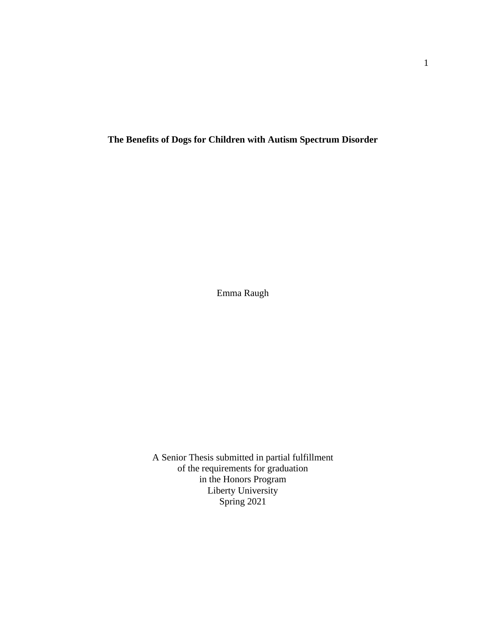**The Benefits of Dogs for Children with Autism Spectrum Disorder**

Emma Raugh

A Senior Thesis submitted in partial fulfillment of the requirements for graduation in the Honors Program Liberty University Spring 2021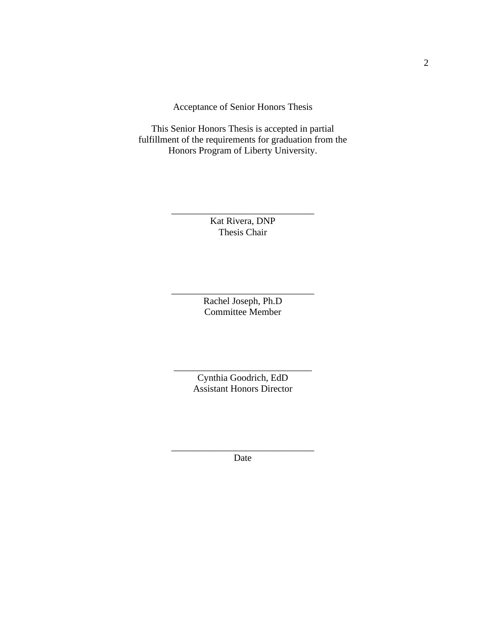Acceptance of Senior Honors Thesis

This Senior Honors Thesis is accepted in partial fulfillment of the requirements for graduation from the Honors Program of Liberty University.

> Kat Rivera, DNP Thesis Chair

\_\_\_\_\_\_\_\_\_\_\_\_\_\_\_\_\_\_\_\_\_\_\_\_\_\_\_\_\_\_

Rachel Joseph, Ph.D Committee Member

\_\_\_\_\_\_\_\_\_\_\_\_\_\_\_\_\_\_\_\_\_\_\_\_\_\_\_\_\_\_

Cynthia Goodrich, EdD Assistant Honors Director

\_\_\_\_\_\_\_\_\_\_\_\_\_\_\_\_\_\_\_\_\_\_\_\_\_\_\_\_\_

\_\_\_\_\_\_\_\_\_\_\_\_\_\_\_\_\_\_\_\_\_\_\_\_\_\_\_\_\_\_ Date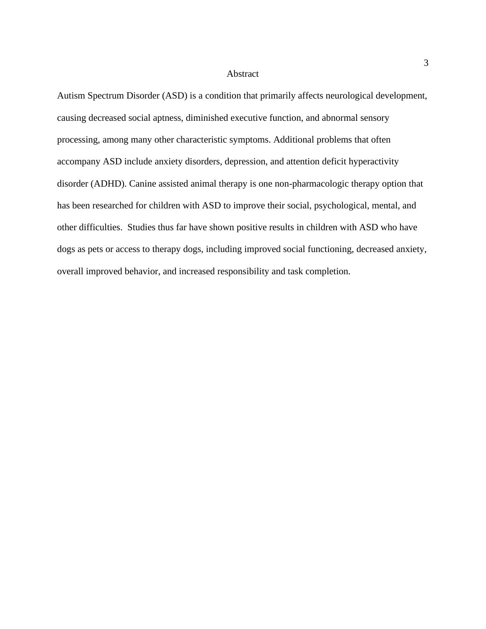#### Abstract

Autism Spectrum Disorder (ASD) is a condition that primarily affects neurological development, causing decreased social aptness, diminished executive function, and abnormal sensory processing, among many other characteristic symptoms. Additional problems that often accompany ASD include anxiety disorders, depression, and attention deficit hyperactivity disorder (ADHD). Canine assisted animal therapy is one non-pharmacologic therapy option that has been researched for children with ASD to improve their social, psychological, mental, and other difficulties. Studies thus far have shown positive results in children with ASD who have dogs as pets or access to therapy dogs, including improved social functioning, decreased anxiety, overall improved behavior, and increased responsibility and task completion.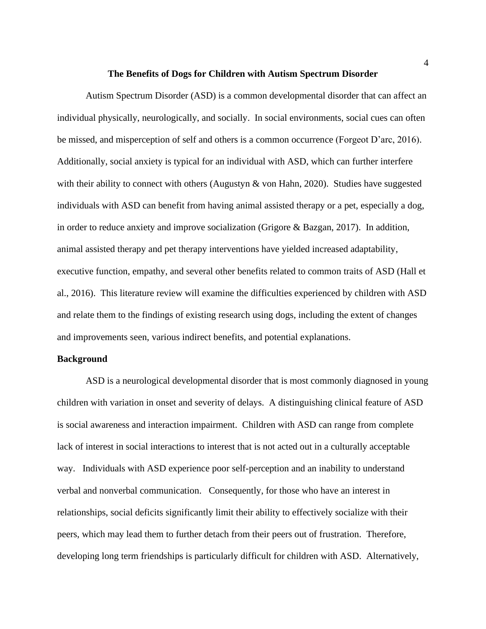#### **The Benefits of Dogs for Children with Autism Spectrum Disorder**

Autism Spectrum Disorder (ASD) is a common developmental disorder that can affect an individual physically, neurologically, and socially. In social environments, social cues can often be missed, and misperception of self and others is a common occurrence (Forgeot D'arc, 2016). Additionally, social anxiety is typical for an individual with ASD, which can further interfere with their ability to connect with others (Augustyn & von Hahn, 2020). Studies have suggested individuals with ASD can benefit from having animal assisted therapy or a pet, especially a dog, in order to reduce anxiety and improve socialization (Grigore & Bazgan, 2017). In addition, animal assisted therapy and pet therapy interventions have yielded increased adaptability, executive function, empathy, and several other benefits related to common traits of ASD (Hall et al., 2016). This literature review will examine the difficulties experienced by children with ASD and relate them to the findings of existing research using dogs, including the extent of changes and improvements seen, various indirect benefits, and potential explanations.

## **Background**

ASD is a neurological developmental disorder that is most commonly diagnosed in young children with variation in onset and severity of delays. A distinguishing clinical feature of ASD is social awareness and interaction impairment. Children with ASD can range from complete lack of interest in social interactions to interest that is not acted out in a culturally acceptable way. Individuals with ASD experience poor self-perception and an inability to understand verbal and nonverbal communication. Consequently, for those who have an interest in relationships, social deficits significantly limit their ability to effectively socialize with their peers, which may lead them to further detach from their peers out of frustration. Therefore, developing long term friendships is particularly difficult for children with ASD. Alternatively,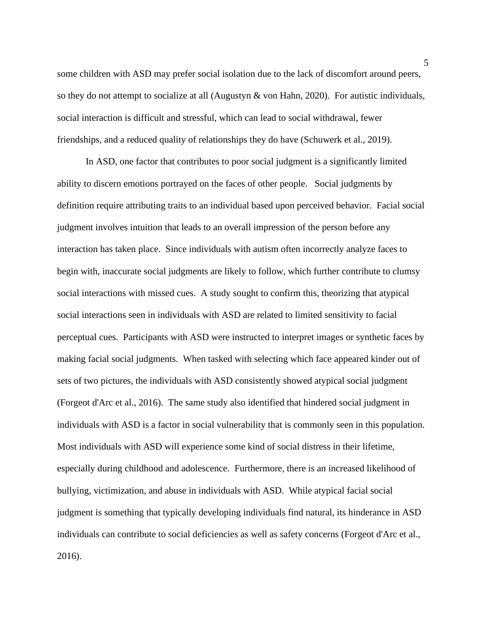some children with ASD may prefer social isolation due to the lack of discomfort around peers, so they do not attempt to socialize at all (Augustyn & von Hahn, 2020). For autistic individuals, social interaction is difficult and stressful, which can lead to social withdrawal, fewer friendships, and a reduced quality of relationships they do have (Schuwerk et al., 2019).

In ASD, one factor that contributes to poor social judgment is a significantly limited ability to discern emotions portrayed on the faces of other people. Social judgments by definition require attributing traits to an individual based upon perceived behavior. Facial social judgment involves intuition that leads to an overall impression of the person before any interaction has taken place. Since individuals with autism often incorrectly analyze faces to begin with, inaccurate social judgments are likely to follow, which further contribute to clumsy social interactions with missed cues. A study sought to confirm this, theorizing that atypical social interactions seen in individuals with ASD are related to limited sensitivity to facial perceptual cues. Participants with ASD were instructed to interpret images or synthetic faces by making facial social judgments. When tasked with selecting which face appeared kinder out of sets of two pictures, the individuals with ASD consistently showed atypical social judgment (Forgeot d'Arc et al., 2016). The same study also identified that hindered social judgment in individuals with ASD is a factor in social vulnerability that is commonly seen in this population. Most individuals with ASD will experience some kind of social distress in their lifetime, especially during childhood and adolescence. Furthermore, there is an increased likelihood of bullying, victimization, and abuse in individuals with ASD. While atypical facial social judgment is something that typically developing individuals find natural, its hinderance in ASD individuals can contribute to social deficiencies as well as safety concerns (Forgeot d'Arc et al., 2016).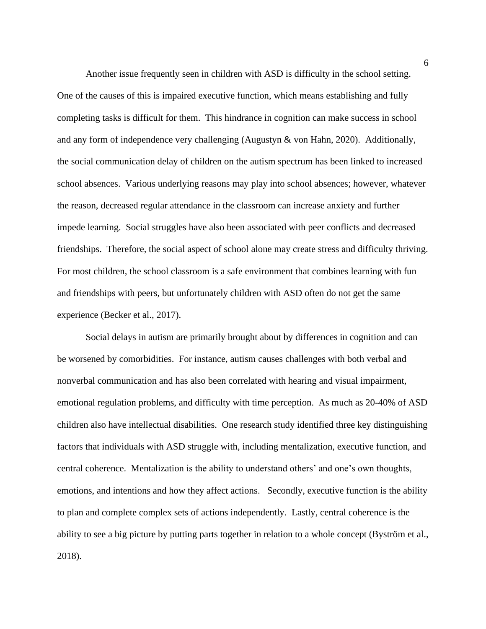Another issue frequently seen in children with ASD is difficulty in the school setting. One of the causes of this is impaired executive function, which means establishing and fully completing tasks is difficult for them. This hindrance in cognition can make success in school and any form of independence very challenging (Augustyn & von Hahn, 2020). Additionally, the social communication delay of children on the autism spectrum has been linked to increased school absences. Various underlying reasons may play into school absences; however, whatever the reason, decreased regular attendance in the classroom can increase anxiety and further impede learning. Social struggles have also been associated with peer conflicts and decreased friendships. Therefore, the social aspect of school alone may create stress and difficulty thriving. For most children, the school classroom is a safe environment that combines learning with fun and friendships with peers, but unfortunately children with ASD often do not get the same experience (Becker et al., 2017).

Social delays in autism are primarily brought about by differences in cognition and can be worsened by comorbidities. For instance, autism causes challenges with both verbal and nonverbal communication and has also been correlated with hearing and visual impairment, emotional regulation problems, and difficulty with time perception. As much as 20-40% of ASD children also have intellectual disabilities. One research study identified three key distinguishing factors that individuals with ASD struggle with, including mentalization, executive function, and central coherence. Mentalization is the ability to understand others' and one's own thoughts, emotions, and intentions and how they affect actions. Secondly, executive function is the ability to plan and complete complex sets of actions independently. Lastly, central coherence is the ability to see a big picture by putting parts together in relation to a whole concept (Byström et al., 2018).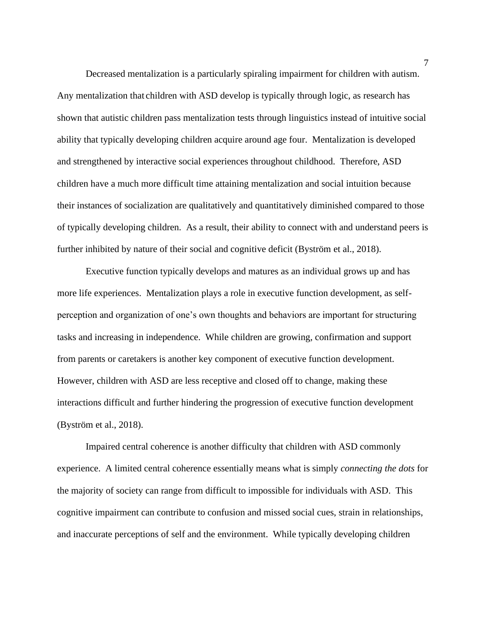Decreased mentalization is a particularly spiraling impairment for children with autism. Any mentalization that children with ASD develop is typically through logic, as research has shown that autistic children pass mentalization tests through linguistics instead of intuitive social ability that typically developing children acquire around age four. Mentalization is developed and strengthened by interactive social experiences throughout childhood. Therefore, ASD children have a much more difficult time attaining mentalization and social intuition because their instances of socialization are qualitatively and quantitatively diminished compared to those of typically developing children. As a result, their ability to connect with and understand peers is further inhibited by nature of their social and cognitive deficit (Byström et al., 2018).

Executive function typically develops and matures as an individual grows up and has more life experiences. Mentalization plays a role in executive function development, as selfperception and organization of one's own thoughts and behaviors are important for structuring tasks and increasing in independence. While children are growing, confirmation and support from parents or caretakers is another key component of executive function development. However, children with ASD are less receptive and closed off to change, making these interactions difficult and further hindering the progression of executive function development (Byström et al., 2018).

Impaired central coherence is another difficulty that children with ASD commonly experience. A limited central coherence essentially means what is simply *connecting the dots* for the majority of society can range from difficult to impossible for individuals with ASD. This cognitive impairment can contribute to confusion and missed social cues, strain in relationships, and inaccurate perceptions of self and the environment. While typically developing children

7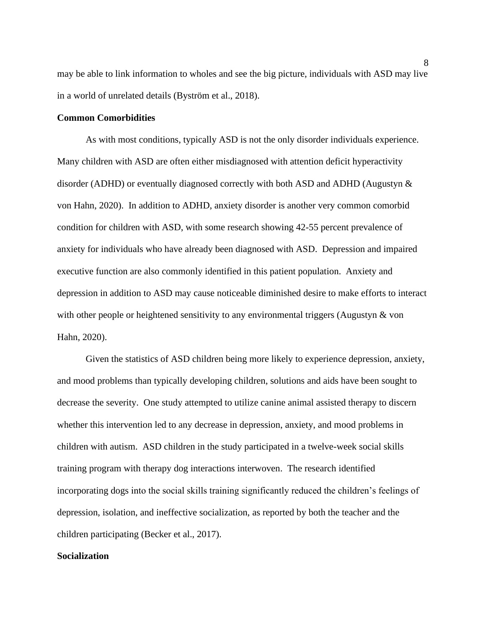may be able to link information to wholes and see the big picture, individuals with ASD may live in a world of unrelated details (Byström et al., 2018).

## **Common Comorbidities**

As with most conditions, typically ASD is not the only disorder individuals experience. Many children with ASD are often either misdiagnosed with attention deficit hyperactivity disorder (ADHD) or eventually diagnosed correctly with both ASD and ADHD (Augustyn & von Hahn, 2020). In addition to ADHD, anxiety disorder is another very common comorbid condition for children with ASD, with some research showing 42-55 percent prevalence of anxiety for individuals who have already been diagnosed with ASD. Depression and impaired executive function are also commonly identified in this patient population. Anxiety and depression in addition to ASD may cause noticeable diminished desire to make efforts to interact with other people or heightened sensitivity to any environmental triggers (Augustyn & von Hahn, 2020).

Given the statistics of ASD children being more likely to experience depression, anxiety, and mood problems than typically developing children, solutions and aids have been sought to decrease the severity. One study attempted to utilize canine animal assisted therapy to discern whether this intervention led to any decrease in depression, anxiety, and mood problems in children with autism. ASD children in the study participated in a twelve-week social skills training program with therapy dog interactions interwoven. The research identified incorporating dogs into the social skills training significantly reduced the children's feelings of depression, isolation, and ineffective socialization, as reported by both the teacher and the children participating (Becker et al., 2017).

# **Socialization**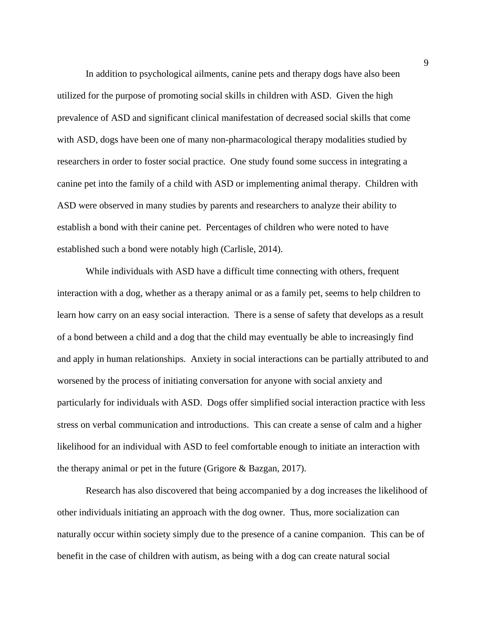In addition to psychological ailments, canine pets and therapy dogs have also been utilized for the purpose of promoting social skills in children with ASD. Given the high prevalence of ASD and significant clinical manifestation of decreased social skills that come with ASD, dogs have been one of many non-pharmacological therapy modalities studied by researchers in order to foster social practice. One study found some success in integrating a canine pet into the family of a child with ASD or implementing animal therapy. Children with ASD were observed in many studies by parents and researchers to analyze their ability to establish a bond with their canine pet. Percentages of children who were noted to have established such a bond were notably high (Carlisle, 2014).

While individuals with ASD have a difficult time connecting with others, frequent interaction with a dog, whether as a therapy animal or as a family pet, seems to help children to learn how carry on an easy social interaction. There is a sense of safety that develops as a result of a bond between a child and a dog that the child may eventually be able to increasingly find and apply in human relationships. Anxiety in social interactions can be partially attributed to and worsened by the process of initiating conversation for anyone with social anxiety and particularly for individuals with ASD. Dogs offer simplified social interaction practice with less stress on verbal communication and introductions. This can create a sense of calm and a higher likelihood for an individual with ASD to feel comfortable enough to initiate an interaction with the therapy animal or pet in the future (Grigore & Bazgan, 2017).

Research has also discovered that being accompanied by a dog increases the likelihood of other individuals initiating an approach with the dog owner. Thus, more socialization can naturally occur within society simply due to the presence of a canine companion. This can be of benefit in the case of children with autism, as being with a dog can create natural social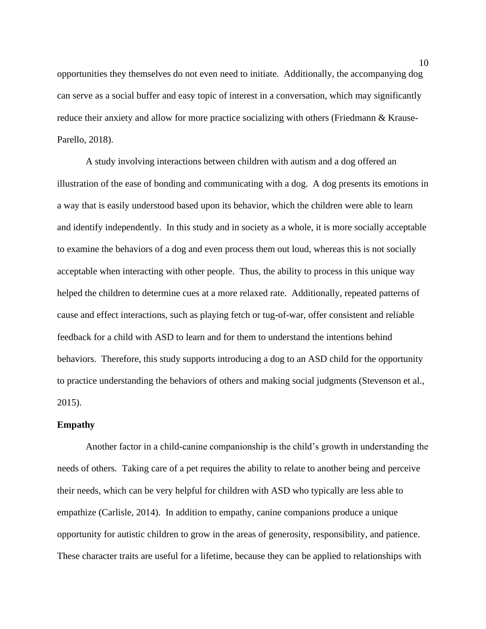opportunities they themselves do not even need to initiate. Additionally, the accompanying dog can serve as a social buffer and easy topic of interest in a conversation, which may significantly reduce their anxiety and allow for more practice socializing with others (Friedmann & Krause-Parello, 2018).

A study involving interactions between children with autism and a dog offered an illustration of the ease of bonding and communicating with a dog. A dog presents its emotions in a way that is easily understood based upon its behavior, which the children were able to learn and identify independently. In this study and in society as a whole, it is more socially acceptable to examine the behaviors of a dog and even process them out loud, whereas this is not socially acceptable when interacting with other people. Thus, the ability to process in this unique way helped the children to determine cues at a more relaxed rate. Additionally, repeated patterns of cause and effect interactions, such as playing fetch or tug-of-war, offer consistent and reliable feedback for a child with ASD to learn and for them to understand the intentions behind behaviors. Therefore, this study supports introducing a dog to an ASD child for the opportunity to practice understanding the behaviors of others and making social judgments (Stevenson et al., 2015).

### **Empathy**

Another factor in a child-canine companionship is the child's growth in understanding the needs of others. Taking care of a pet requires the ability to relate to another being and perceive their needs, which can be very helpful for children with ASD who typically are less able to empathize (Carlisle, 2014). In addition to empathy, canine companions produce a unique opportunity for autistic children to grow in the areas of generosity, responsibility, and patience. These character traits are useful for a lifetime, because they can be applied to relationships with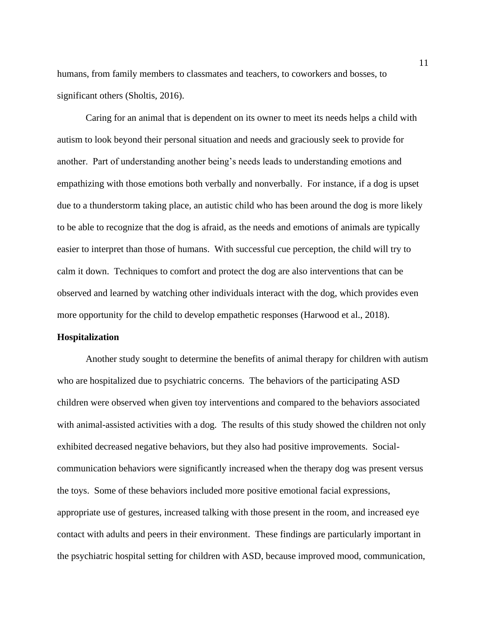humans, from family members to classmates and teachers, to coworkers and bosses, to significant others (Sholtis, 2016).

Caring for an animal that is dependent on its owner to meet its needs helps a child with autism to look beyond their personal situation and needs and graciously seek to provide for another. Part of understanding another being's needs leads to understanding emotions and empathizing with those emotions both verbally and nonverbally. For instance, if a dog is upset due to a thunderstorm taking place, an autistic child who has been around the dog is more likely to be able to recognize that the dog is afraid, as the needs and emotions of animals are typically easier to interpret than those of humans. With successful cue perception, the child will try to calm it down. Techniques to comfort and protect the dog are also interventions that can be observed and learned by watching other individuals interact with the dog, which provides even more opportunity for the child to develop empathetic responses (Harwood et al., 2018).

#### **Hospitalization**

Another study sought to determine the benefits of animal therapy for children with autism who are hospitalized due to psychiatric concerns. The behaviors of the participating ASD children were observed when given toy interventions and compared to the behaviors associated with animal-assisted activities with a dog. The results of this study showed the children not only exhibited decreased negative behaviors, but they also had positive improvements. Socialcommunication behaviors were significantly increased when the therapy dog was present versus the toys. Some of these behaviors included more positive emotional facial expressions, appropriate use of gestures, increased talking with those present in the room, and increased eye contact with adults and peers in their environment. These findings are particularly important in the psychiatric hospital setting for children with ASD, because improved mood, communication,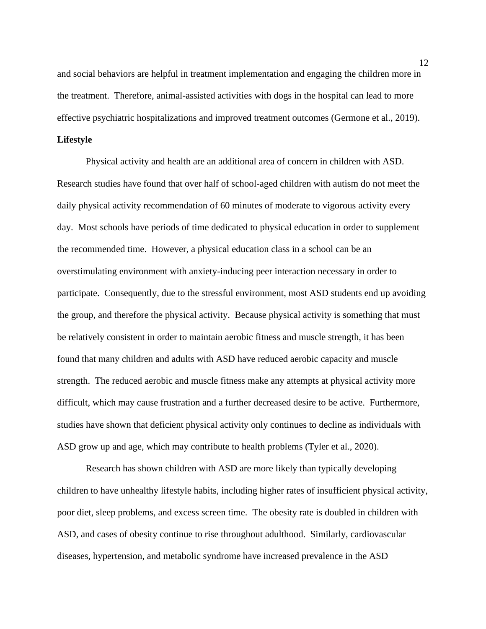and social behaviors are helpful in treatment implementation and engaging the children more in the treatment. Therefore, animal-assisted activities with dogs in the hospital can lead to more effective psychiatric hospitalizations and improved treatment outcomes (Germone et al., 2019).

## **Lifestyle**

Physical activity and health are an additional area of concern in children with ASD. Research studies have found that over half of school-aged children with autism do not meet the daily physical activity recommendation of 60 minutes of moderate to vigorous activity every day. Most schools have periods of time dedicated to physical education in order to supplement the recommended time. However, a physical education class in a school can be an overstimulating environment with anxiety-inducing peer interaction necessary in order to participate. Consequently, due to the stressful environment, most ASD students end up avoiding the group, and therefore the physical activity. Because physical activity is something that must be relatively consistent in order to maintain aerobic fitness and muscle strength, it has been found that many children and adults with ASD have reduced aerobic capacity and muscle strength. The reduced aerobic and muscle fitness make any attempts at physical activity more difficult, which may cause frustration and a further decreased desire to be active. Furthermore, studies have shown that deficient physical activity only continues to decline as individuals with ASD grow up and age, which may contribute to health problems (Tyler et al., 2020).

Research has shown children with ASD are more likely than typically developing children to have unhealthy lifestyle habits, including higher rates of insufficient physical activity, poor diet, sleep problems, and excess screen time. The obesity rate is doubled in children with ASD, and cases of obesity continue to rise throughout adulthood. Similarly, cardiovascular diseases, hypertension, and metabolic syndrome have increased prevalence in the ASD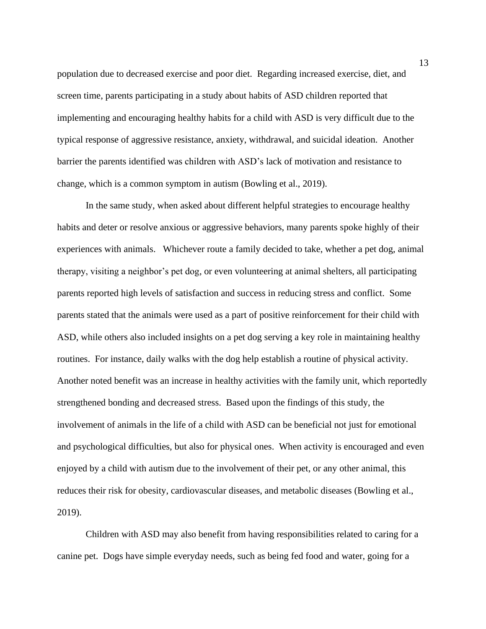population due to decreased exercise and poor diet. Regarding increased exercise, diet, and screen time, parents participating in a study about habits of ASD children reported that implementing and encouraging healthy habits for a child with ASD is very difficult due to the typical response of aggressive resistance, anxiety, withdrawal, and suicidal ideation. Another barrier the parents identified was children with ASD's lack of motivation and resistance to change, which is a common symptom in autism (Bowling et al., 2019).

In the same study, when asked about different helpful strategies to encourage healthy habits and deter or resolve anxious or aggressive behaviors, many parents spoke highly of their experiences with animals. Whichever route a family decided to take, whether a pet dog, animal therapy, visiting a neighbor's pet dog, or even volunteering at animal shelters, all participating parents reported high levels of satisfaction and success in reducing stress and conflict. Some parents stated that the animals were used as a part of positive reinforcement for their child with ASD, while others also included insights on a pet dog serving a key role in maintaining healthy routines. For instance, daily walks with the dog help establish a routine of physical activity. Another noted benefit was an increase in healthy activities with the family unit, which reportedly strengthened bonding and decreased stress. Based upon the findings of this study, the involvement of animals in the life of a child with ASD can be beneficial not just for emotional and psychological difficulties, but also for physical ones. When activity is encouraged and even enjoyed by a child with autism due to the involvement of their pet, or any other animal, this reduces their risk for obesity, cardiovascular diseases, and metabolic diseases (Bowling et al., 2019).

Children with ASD may also benefit from having responsibilities related to caring for a canine pet. Dogs have simple everyday needs, such as being fed food and water, going for a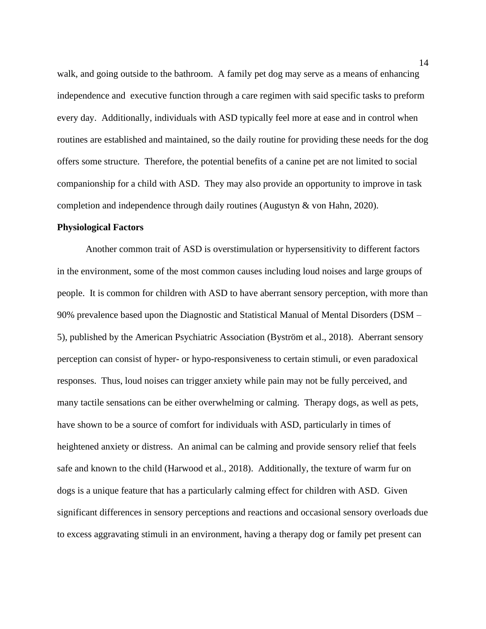walk, and going outside to the bathroom. A family pet dog may serve as a means of enhancing independence and executive function through a care regimen with said specific tasks to preform every day. Additionally, individuals with ASD typically feel more at ease and in control when routines are established and maintained, so the daily routine for providing these needs for the dog offers some structure. Therefore, the potential benefits of a canine pet are not limited to social companionship for a child with ASD. They may also provide an opportunity to improve in task completion and independence through daily routines (Augustyn & von Hahn, 2020).

# **Physiological Factors**

Another common trait of ASD is overstimulation or hypersensitivity to different factors in the environment, some of the most common causes including loud noises and large groups of people. It is common for children with ASD to have aberrant sensory perception, with more than 90% prevalence based upon the Diagnostic and Statistical Manual of Mental Disorders (DSM – 5), published by the American Psychiatric Association (Byström et al., 2018). Aberrant sensory perception can consist of hyper- or hypo-responsiveness to certain stimuli, or even paradoxical responses. Thus, loud noises can trigger anxiety while pain may not be fully perceived, and many tactile sensations can be either overwhelming or calming. Therapy dogs, as well as pets, have shown to be a source of comfort for individuals with ASD, particularly in times of heightened anxiety or distress. An animal can be calming and provide sensory relief that feels safe and known to the child (Harwood et al., 2018). Additionally, the texture of warm fur on dogs is a unique feature that has a particularly calming effect for children with ASD. Given significant differences in sensory perceptions and reactions and occasional sensory overloads due to excess aggravating stimuli in an environment, having a therapy dog or family pet present can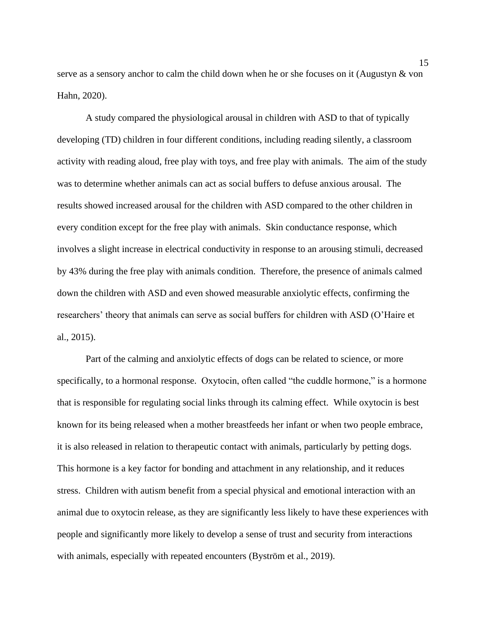serve as a sensory anchor to calm the child down when he or she focuses on it (Augustyn & von Hahn, 2020).

A study compared the physiological arousal in children with ASD to that of typically developing (TD) children in four different conditions, including reading silently, a classroom activity with reading aloud, free play with toys, and free play with animals. The aim of the study was to determine whether animals can act as social buffers to defuse anxious arousal. The results showed increased arousal for the children with ASD compared to the other children in every condition except for the free play with animals. Skin conductance response, which involves a slight increase in electrical conductivity in response to an arousing stimuli, decreased by 43% during the free play with animals condition. Therefore, the presence of animals calmed down the children with ASD and even showed measurable anxiolytic effects, confirming the researchers' theory that animals can serve as social buffers for children with ASD (O'Haire et al., 2015).

Part of the calming and anxiolytic effects of dogs can be related to science, or more specifically, to a hormonal response. Oxytocin, often called "the cuddle hormone," is a hormone that is responsible for regulating social links through its calming effect. While oxytocin is best known for its being released when a mother breastfeeds her infant or when two people embrace, it is also released in relation to therapeutic contact with animals, particularly by petting dogs. This hormone is a key factor for bonding and attachment in any relationship, and it reduces stress. Children with autism benefit from a special physical and emotional interaction with an animal due to oxytocin release, as they are significantly less likely to have these experiences with people and significantly more likely to develop a sense of trust and security from interactions with animals, especially with repeated encounters (Byström et al., 2019).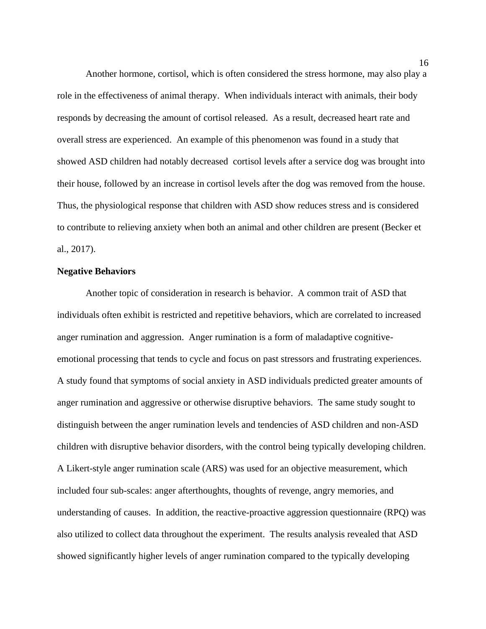Another hormone, cortisol, which is often considered the stress hormone, may also play a role in the effectiveness of animal therapy. When individuals interact with animals, their body responds by decreasing the amount of cortisol released. As a result, decreased heart rate and overall stress are experienced. An example of this phenomenon was found in a study that showed ASD children had notably decreased cortisol levels after a service dog was brought into their house, followed by an increase in cortisol levels after the dog was removed from the house. Thus, the physiological response that children with ASD show reduces stress and is considered to contribute to relieving anxiety when both an animal and other children are present (Becker et al., 2017).

### **Negative Behaviors**

Another topic of consideration in research is behavior. A common trait of ASD that individuals often exhibit is restricted and repetitive behaviors, which are correlated to increased anger rumination and aggression. Anger rumination is a form of maladaptive cognitiveemotional processing that tends to cycle and focus on past stressors and frustrating experiences. A study found that symptoms of social anxiety in ASD individuals predicted greater amounts of anger rumination and aggressive or otherwise disruptive behaviors. The same study sought to distinguish between the anger rumination levels and tendencies of ASD children and non-ASD children with disruptive behavior disorders, with the control being typically developing children. A Likert-style anger rumination scale (ARS) was used for an objective measurement, which included four sub-scales: anger afterthoughts, thoughts of revenge, angry memories, and understanding of causes. In addition, the reactive-proactive aggression questionnaire (RPQ) was also utilized to collect data throughout the experiment. The results analysis revealed that ASD showed significantly higher levels of anger rumination compared to the typically developing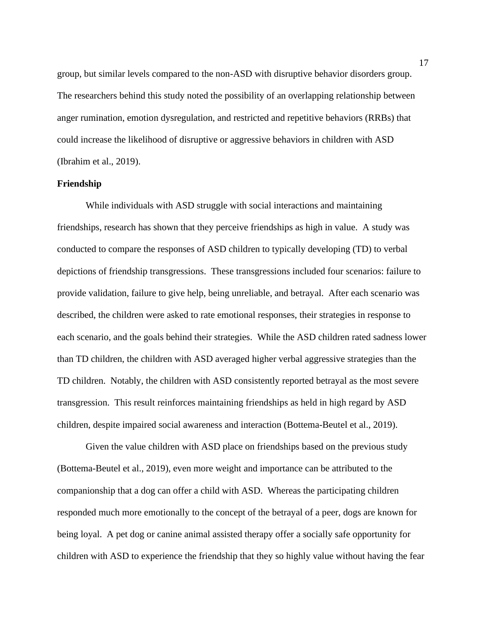group, but similar levels compared to the non-ASD with disruptive behavior disorders group. The researchers behind this study noted the possibility of an overlapping relationship between anger rumination, emotion dysregulation, and restricted and repetitive behaviors (RRBs) that could increase the likelihood of disruptive or aggressive behaviors in children with ASD (Ibrahim et al., 2019).

## **Friendship**

While individuals with ASD struggle with social interactions and maintaining friendships, research has shown that they perceive friendships as high in value. A study was conducted to compare the responses of ASD children to typically developing (TD) to verbal depictions of friendship transgressions. These transgressions included four scenarios: failure to provide validation, failure to give help, being unreliable, and betrayal. After each scenario was described, the children were asked to rate emotional responses, their strategies in response to each scenario, and the goals behind their strategies. While the ASD children rated sadness lower than TD children, the children with ASD averaged higher verbal aggressive strategies than the TD children. Notably, the children with ASD consistently reported betrayal as the most severe transgression. This result reinforces maintaining friendships as held in high regard by ASD children, despite impaired social awareness and interaction (Bottema-Beutel et al., 2019).

Given the value children with ASD place on friendships based on the previous study (Bottema-Beutel et al., 2019), even more weight and importance can be attributed to the companionship that a dog can offer a child with ASD. Whereas the participating children responded much more emotionally to the concept of the betrayal of a peer, dogs are known for being loyal. A pet dog or canine animal assisted therapy offer a socially safe opportunity for children with ASD to experience the friendship that they so highly value without having the fear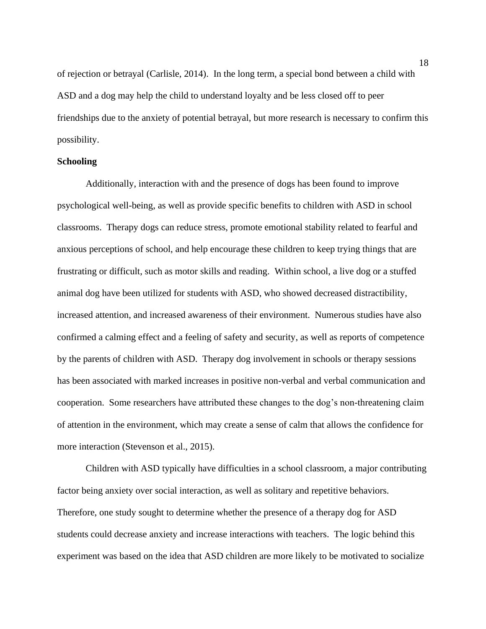of rejection or betrayal (Carlisle, 2014). In the long term, a special bond between a child with ASD and a dog may help the child to understand loyalty and be less closed off to peer friendships due to the anxiety of potential betrayal, but more research is necessary to confirm this possibility.

## **Schooling**

Additionally, interaction with and the presence of dogs has been found to improve psychological well-being, as well as provide specific benefits to children with ASD in school classrooms. Therapy dogs can reduce stress, promote emotional stability related to fearful and anxious perceptions of school, and help encourage these children to keep trying things that are frustrating or difficult, such as motor skills and reading. Within school, a live dog or a stuffed animal dog have been utilized for students with ASD, who showed decreased distractibility, increased attention, and increased awareness of their environment. Numerous studies have also confirmed a calming effect and a feeling of safety and security, as well as reports of competence by the parents of children with ASD. Therapy dog involvement in schools or therapy sessions has been associated with marked increases in positive non-verbal and verbal communication and cooperation. Some researchers have attributed these changes to the dog's non-threatening claim of attention in the environment, which may create a sense of calm that allows the confidence for more interaction (Stevenson et al., 2015).

Children with ASD typically have difficulties in a school classroom, a major contributing factor being anxiety over social interaction, as well as solitary and repetitive behaviors. Therefore, one study sought to determine whether the presence of a therapy dog for ASD students could decrease anxiety and increase interactions with teachers. The logic behind this experiment was based on the idea that ASD children are more likely to be motivated to socialize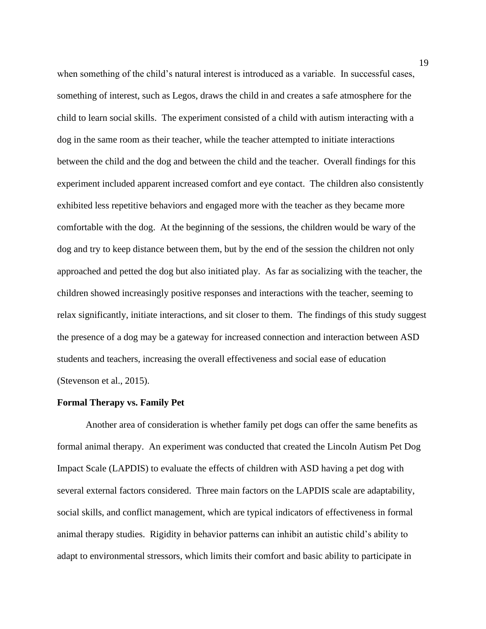when something of the child's natural interest is introduced as a variable. In successful cases, something of interest, such as Legos, draws the child in and creates a safe atmosphere for the child to learn social skills. The experiment consisted of a child with autism interacting with a dog in the same room as their teacher, while the teacher attempted to initiate interactions between the child and the dog and between the child and the teacher. Overall findings for this experiment included apparent increased comfort and eye contact. The children also consistently exhibited less repetitive behaviors and engaged more with the teacher as they became more comfortable with the dog. At the beginning of the sessions, the children would be wary of the dog and try to keep distance between them, but by the end of the session the children not only approached and petted the dog but also initiated play. As far as socializing with the teacher, the children showed increasingly positive responses and interactions with the teacher, seeming to relax significantly, initiate interactions, and sit closer to them. The findings of this study suggest the presence of a dog may be a gateway for increased connection and interaction between ASD students and teachers, increasing the overall effectiveness and social ease of education (Stevenson et al., 2015).

#### **Formal Therapy vs. Family Pet**

Another area of consideration is whether family pet dogs can offer the same benefits as formal animal therapy. An experiment was conducted that created the Lincoln Autism Pet Dog Impact Scale (LAPDIS) to evaluate the effects of children with ASD having a pet dog with several external factors considered. Three main factors on the LAPDIS scale are adaptability, social skills, and conflict management, which are typical indicators of effectiveness in formal animal therapy studies. Rigidity in behavior patterns can inhibit an autistic child's ability to adapt to environmental stressors, which limits their comfort and basic ability to participate in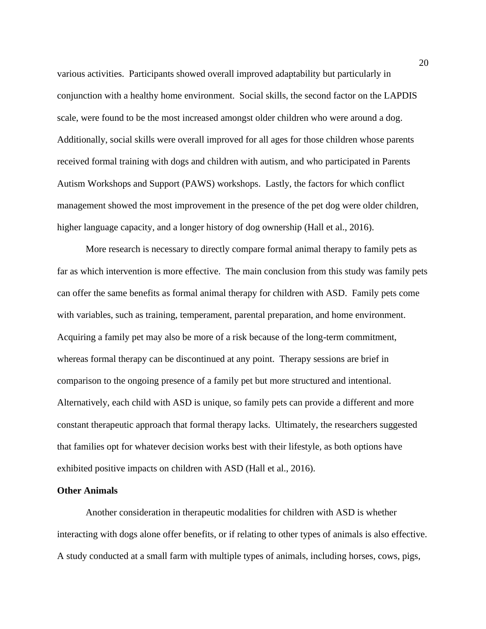various activities. Participants showed overall improved adaptability but particularly in conjunction with a healthy home environment. Social skills, the second factor on the LAPDIS scale, were found to be the most increased amongst older children who were around a dog. Additionally, social skills were overall improved for all ages for those children whose parents received formal training with dogs and children with autism, and who participated in Parents Autism Workshops and Support (PAWS) workshops. Lastly, the factors for which conflict management showed the most improvement in the presence of the pet dog were older children, higher language capacity, and a longer history of dog ownership (Hall et al., 2016).

More research is necessary to directly compare formal animal therapy to family pets as far as which intervention is more effective. The main conclusion from this study was family pets can offer the same benefits as formal animal therapy for children with ASD. Family pets come with variables, such as training, temperament, parental preparation, and home environment. Acquiring a family pet may also be more of a risk because of the long-term commitment, whereas formal therapy can be discontinued at any point. Therapy sessions are brief in comparison to the ongoing presence of a family pet but more structured and intentional. Alternatively, each child with ASD is unique, so family pets can provide a different and more constant therapeutic approach that formal therapy lacks. Ultimately, the researchers suggested that families opt for whatever decision works best with their lifestyle, as both options have exhibited positive impacts on children with ASD (Hall et al., 2016).

## **Other Animals**

Another consideration in therapeutic modalities for children with ASD is whether interacting with dogs alone offer benefits, or if relating to other types of animals is also effective. A study conducted at a small farm with multiple types of animals, including horses, cows, pigs,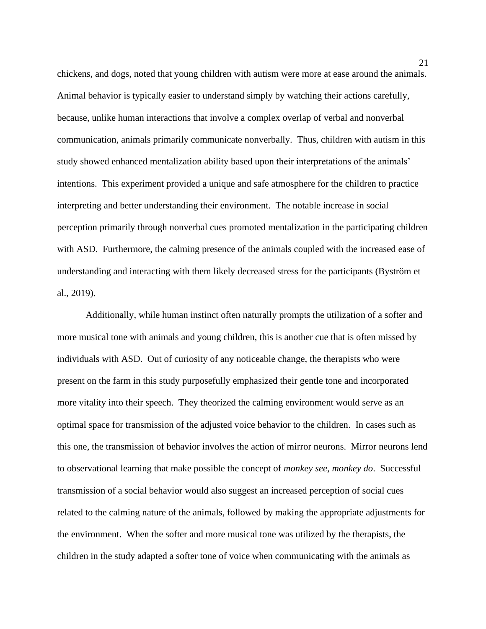chickens, and dogs, noted that young children with autism were more at ease around the animals. Animal behavior is typically easier to understand simply by watching their actions carefully, because, unlike human interactions that involve a complex overlap of verbal and nonverbal communication, animals primarily communicate nonverbally. Thus, children with autism in this study showed enhanced mentalization ability based upon their interpretations of the animals' intentions. This experiment provided a unique and safe atmosphere for the children to practice interpreting and better understanding their environment. The notable increase in social perception primarily through nonverbal cues promoted mentalization in the participating children with ASD. Furthermore, the calming presence of the animals coupled with the increased ease of understanding and interacting with them likely decreased stress for the participants (Byström et al., 2019).

Additionally, while human instinct often naturally prompts the utilization of a softer and more musical tone with animals and young children, this is another cue that is often missed by individuals with ASD. Out of curiosity of any noticeable change, the therapists who were present on the farm in this study purposefully emphasized their gentle tone and incorporated more vitality into their speech. They theorized the calming environment would serve as an optimal space for transmission of the adjusted voice behavior to the children. In cases such as this one, the transmission of behavior involves the action of mirror neurons. Mirror neurons lend to observational learning that make possible the concept of *monkey see, monkey do*. Successful transmission of a social behavior would also suggest an increased perception of social cues related to the calming nature of the animals, followed by making the appropriate adjustments for the environment. When the softer and more musical tone was utilized by the therapists, the children in the study adapted a softer tone of voice when communicating with the animals as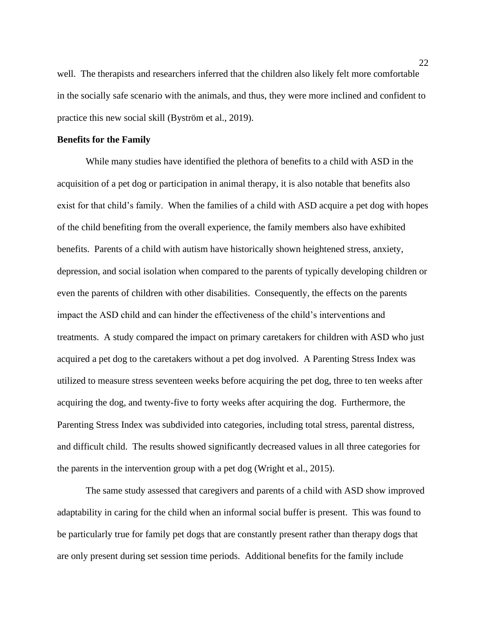well. The therapists and researchers inferred that the children also likely felt more comfortable in the socially safe scenario with the animals, and thus, they were more inclined and confident to practice this new social skill (Byström et al., 2019).

# **Benefits for the Family**

While many studies have identified the plethora of benefits to a child with ASD in the acquisition of a pet dog or participation in animal therapy, it is also notable that benefits also exist for that child's family. When the families of a child with ASD acquire a pet dog with hopes of the child benefiting from the overall experience, the family members also have exhibited benefits. Parents of a child with autism have historically shown heightened stress, anxiety, depression, and social isolation when compared to the parents of typically developing children or even the parents of children with other disabilities. Consequently, the effects on the parents impact the ASD child and can hinder the effectiveness of the child's interventions and treatments. A study compared the impact on primary caretakers for children with ASD who just acquired a pet dog to the caretakers without a pet dog involved. A Parenting Stress Index was utilized to measure stress seventeen weeks before acquiring the pet dog, three to ten weeks after acquiring the dog, and twenty-five to forty weeks after acquiring the dog. Furthermore, the Parenting Stress Index was subdivided into categories, including total stress, parental distress, and difficult child. The results showed significantly decreased values in all three categories for the parents in the intervention group with a pet dog (Wright et al., 2015).

The same study assessed that caregivers and parents of a child with ASD show improved adaptability in caring for the child when an informal social buffer is present. This was found to be particularly true for family pet dogs that are constantly present rather than therapy dogs that are only present during set session time periods. Additional benefits for the family include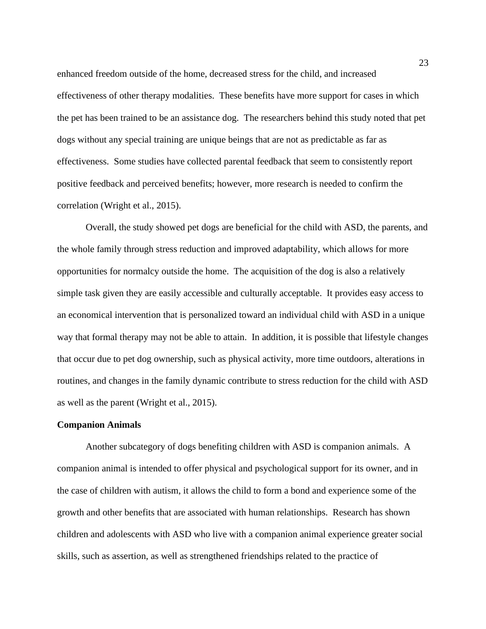enhanced freedom outside of the home, decreased stress for the child, and increased effectiveness of other therapy modalities. These benefits have more support for cases in which the pet has been trained to be an assistance dog. The researchers behind this study noted that pet dogs without any special training are unique beings that are not as predictable as far as effectiveness. Some studies have collected parental feedback that seem to consistently report positive feedback and perceived benefits; however, more research is needed to confirm the correlation (Wright et al., 2015).

Overall, the study showed pet dogs are beneficial for the child with ASD, the parents, and the whole family through stress reduction and improved adaptability, which allows for more opportunities for normalcy outside the home. The acquisition of the dog is also a relatively simple task given they are easily accessible and culturally acceptable. It provides easy access to an economical intervention that is personalized toward an individual child with ASD in a unique way that formal therapy may not be able to attain. In addition, it is possible that lifestyle changes that occur due to pet dog ownership, such as physical activity, more time outdoors, alterations in routines, and changes in the family dynamic contribute to stress reduction for the child with ASD as well as the parent (Wright et al., 2015).

### **Companion Animals**

Another subcategory of dogs benefiting children with ASD is companion animals. A companion animal is intended to offer physical and psychological support for its owner, and in the case of children with autism, it allows the child to form a bond and experience some of the growth and other benefits that are associated with human relationships. Research has shown children and adolescents with ASD who live with a companion animal experience greater social skills, such as assertion, as well as strengthened friendships related to the practice of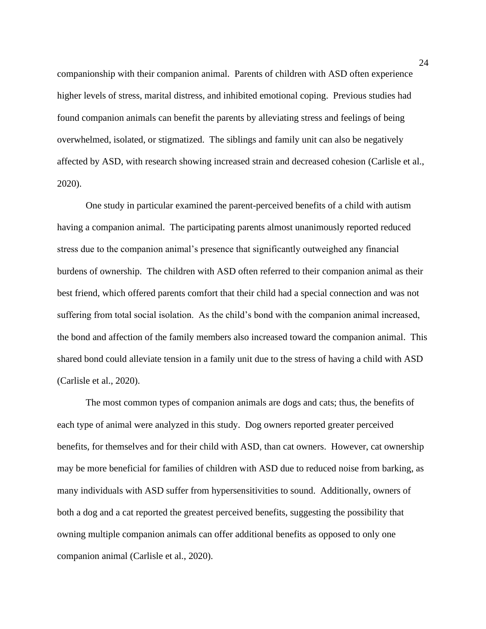companionship with their companion animal. Parents of children with ASD often experience higher levels of stress, marital distress, and inhibited emotional coping. Previous studies had found companion animals can benefit the parents by alleviating stress and feelings of being overwhelmed, isolated, or stigmatized. The siblings and family unit can also be negatively affected by ASD, with research showing increased strain and decreased cohesion (Carlisle et al., 2020).

One study in particular examined the parent-perceived benefits of a child with autism having a companion animal. The participating parents almost unanimously reported reduced stress due to the companion animal's presence that significantly outweighed any financial burdens of ownership. The children with ASD often referred to their companion animal as their best friend, which offered parents comfort that their child had a special connection and was not suffering from total social isolation. As the child's bond with the companion animal increased, the bond and affection of the family members also increased toward the companion animal. This shared bond could alleviate tension in a family unit due to the stress of having a child with ASD (Carlisle et al., 2020).

The most common types of companion animals are dogs and cats; thus, the benefits of each type of animal were analyzed in this study. Dog owners reported greater perceived benefits, for themselves and for their child with ASD, than cat owners. However, cat ownership may be more beneficial for families of children with ASD due to reduced noise from barking, as many individuals with ASD suffer from hypersensitivities to sound. Additionally, owners of both a dog and a cat reported the greatest perceived benefits, suggesting the possibility that owning multiple companion animals can offer additional benefits as opposed to only one companion animal (Carlisle et al., 2020).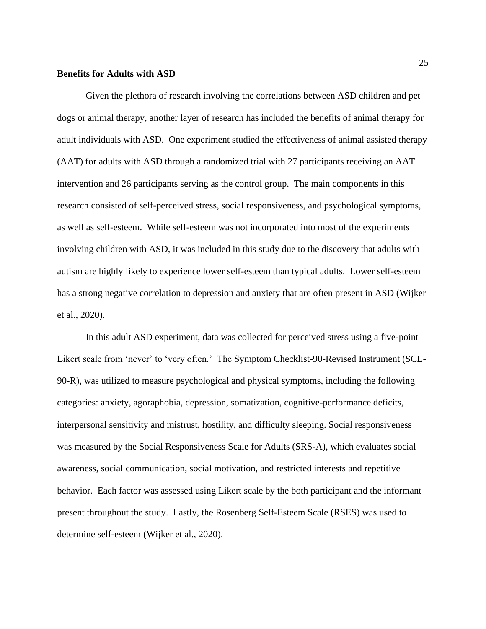### **Benefits for Adults with ASD**

Given the plethora of research involving the correlations between ASD children and pet dogs or animal therapy, another layer of research has included the benefits of animal therapy for adult individuals with ASD. One experiment studied the effectiveness of animal assisted therapy (AAT) for adults with ASD through a randomized trial with 27 participants receiving an AAT intervention and 26 participants serving as the control group. The main components in this research consisted of self-perceived stress, social responsiveness, and psychological symptoms, as well as self-esteem. While self-esteem was not incorporated into most of the experiments involving children with ASD, it was included in this study due to the discovery that adults with autism are highly likely to experience lower self-esteem than typical adults. Lower self-esteem has a strong negative correlation to depression and anxiety that are often present in ASD (Wijker et al., 2020).

In this adult ASD experiment, data was collected for perceived stress using a five-point Likert scale from 'never' to 'very often.' The Symptom Checklist-90-Revised Instrument (SCL-90-R), was utilized to measure psychological and physical symptoms, including the following categories: anxiety, agoraphobia, depression, somatization, cognitive-performance deficits, interpersonal sensitivity and mistrust, hostility, and difficulty sleeping. Social responsiveness was measured by the Social Responsiveness Scale for Adults (SRS-A), which evaluates social awareness, social communication, social motivation, and restricted interests and repetitive behavior. Each factor was assessed using Likert scale by the both participant and the informant present throughout the study. Lastly, the Rosenberg Self-Esteem Scale (RSES) was used to determine self-esteem (Wijker et al., 2020).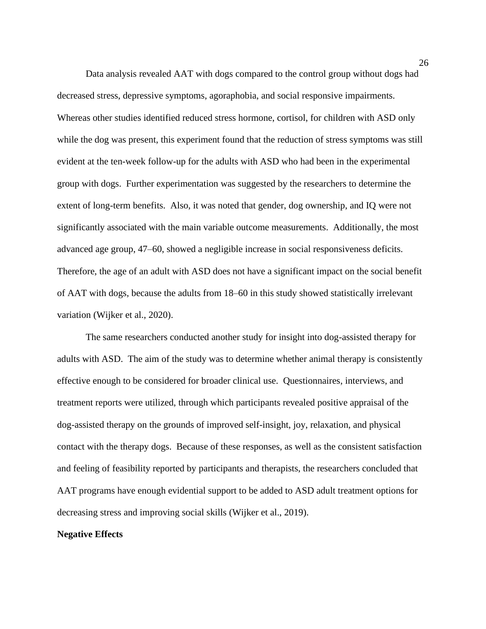Data analysis revealed AAT with dogs compared to the control group without dogs had decreased stress, depressive symptoms, agoraphobia, and social responsive impairments. Whereas other studies identified reduced stress hormone, cortisol, for children with ASD only while the dog was present, this experiment found that the reduction of stress symptoms was still evident at the ten-week follow-up for the adults with ASD who had been in the experimental group with dogs. Further experimentation was suggested by the researchers to determine the extent of long-term benefits. Also, it was noted that gender, dog ownership, and IQ were not significantly associated with the main variable outcome measurements. Additionally, the most advanced age group, 47–60, showed a negligible increase in social responsiveness deficits. Therefore, the age of an adult with ASD does not have a significant impact on the social benefit of AAT with dogs, because the adults from 18–60 in this study showed statistically irrelevant variation (Wijker et al., 2020).

The same researchers conducted another study for insight into dog-assisted therapy for adults with ASD. The aim of the study was to determine whether animal therapy is consistently effective enough to be considered for broader clinical use. Questionnaires, interviews, and treatment reports were utilized, through which participants revealed positive appraisal of the dog-assisted therapy on the grounds of improved self-insight, joy, relaxation, and physical contact with the therapy dogs. Because of these responses, as well as the consistent satisfaction and feeling of feasibility reported by participants and therapists, the researchers concluded that AAT programs have enough evidential support to be added to ASD adult treatment options for decreasing stress and improving social skills (Wijker et al., 2019).

#### **Negative Effects**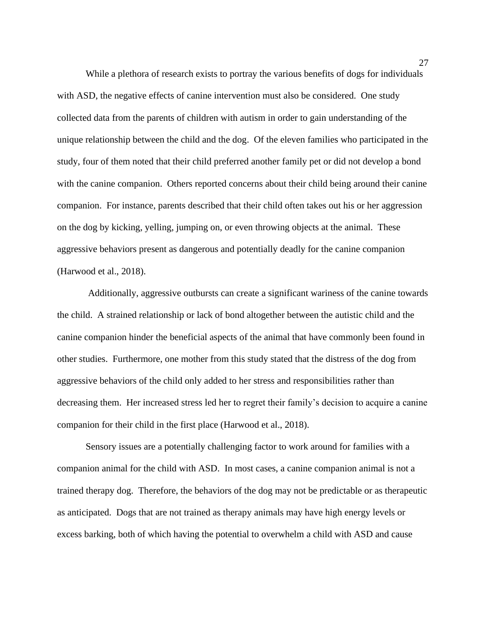While a plethora of research exists to portray the various benefits of dogs for individuals with ASD, the negative effects of canine intervention must also be considered. One study collected data from the parents of children with autism in order to gain understanding of the unique relationship between the child and the dog. Of the eleven families who participated in the study, four of them noted that their child preferred another family pet or did not develop a bond with the canine companion. Others reported concerns about their child being around their canine companion. For instance, parents described that their child often takes out his or her aggression on the dog by kicking, yelling, jumping on, or even throwing objects at the animal. These aggressive behaviors present as dangerous and potentially deadly for the canine companion (Harwood et al., 2018).

Additionally, aggressive outbursts can create a significant wariness of the canine towards the child. A strained relationship or lack of bond altogether between the autistic child and the canine companion hinder the beneficial aspects of the animal that have commonly been found in other studies. Furthermore, one mother from this study stated that the distress of the dog from aggressive behaviors of the child only added to her stress and responsibilities rather than decreasing them. Her increased stress led her to regret their family's decision to acquire a canine companion for their child in the first place (Harwood et al., 2018).

Sensory issues are a potentially challenging factor to work around for families with a companion animal for the child with ASD. In most cases, a canine companion animal is not a trained therapy dog. Therefore, the behaviors of the dog may not be predictable or as therapeutic as anticipated. Dogs that are not trained as therapy animals may have high energy levels or excess barking, both of which having the potential to overwhelm a child with ASD and cause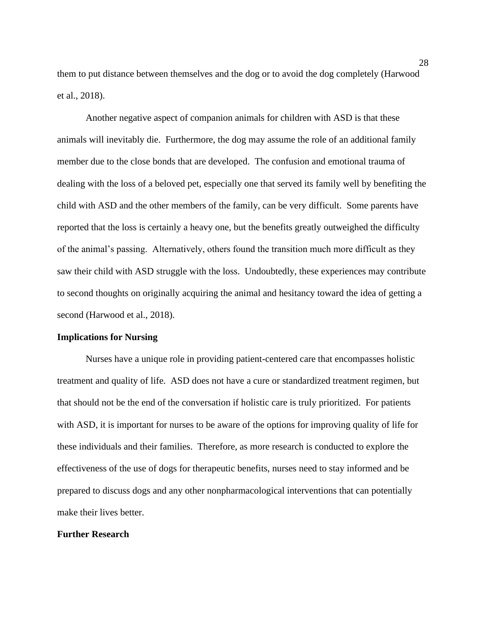them to put distance between themselves and the dog or to avoid the dog completely (Harwood et al., 2018).

Another negative aspect of companion animals for children with ASD is that these animals will inevitably die. Furthermore, the dog may assume the role of an additional family member due to the close bonds that are developed. The confusion and emotional trauma of dealing with the loss of a beloved pet, especially one that served its family well by benefiting the child with ASD and the other members of the family, can be very difficult. Some parents have reported that the loss is certainly a heavy one, but the benefits greatly outweighed the difficulty of the animal's passing. Alternatively, others found the transition much more difficult as they saw their child with ASD struggle with the loss. Undoubtedly, these experiences may contribute to second thoughts on originally acquiring the animal and hesitancy toward the idea of getting a second (Harwood et al., 2018).

#### **Implications for Nursing**

Nurses have a unique role in providing patient-centered care that encompasses holistic treatment and quality of life. ASD does not have a cure or standardized treatment regimen, but that should not be the end of the conversation if holistic care is truly prioritized. For patients with ASD, it is important for nurses to be aware of the options for improving quality of life for these individuals and their families. Therefore, as more research is conducted to explore the effectiveness of the use of dogs for therapeutic benefits, nurses need to stay informed and be prepared to discuss dogs and any other nonpharmacological interventions that can potentially make their lives better.

# **Further Research**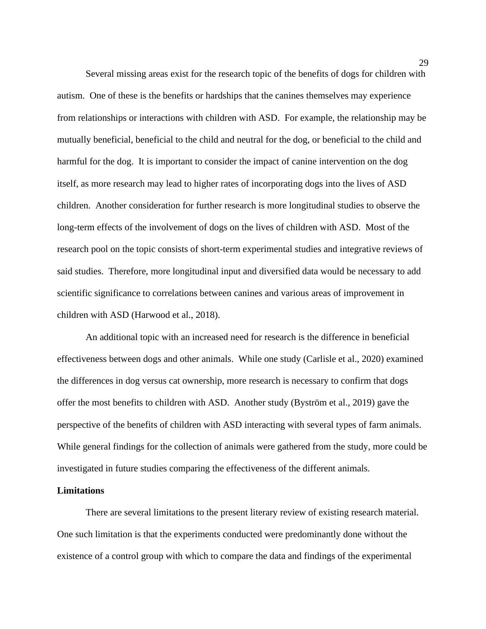Several missing areas exist for the research topic of the benefits of dogs for children with autism. One of these is the benefits or hardships that the canines themselves may experience from relationships or interactions with children with ASD. For example, the relationship may be mutually beneficial, beneficial to the child and neutral for the dog, or beneficial to the child and harmful for the dog. It is important to consider the impact of canine intervention on the dog itself, as more research may lead to higher rates of incorporating dogs into the lives of ASD children. Another consideration for further research is more longitudinal studies to observe the long-term effects of the involvement of dogs on the lives of children with ASD. Most of the research pool on the topic consists of short-term experimental studies and integrative reviews of said studies. Therefore, more longitudinal input and diversified data would be necessary to add scientific significance to correlations between canines and various areas of improvement in children with ASD (Harwood et al., 2018).

An additional topic with an increased need for research is the difference in beneficial effectiveness between dogs and other animals. While one study (Carlisle et al., 2020) examined the differences in dog versus cat ownership, more research is necessary to confirm that dogs offer the most benefits to children with ASD. Another study (Byström et al., 2019) gave the perspective of the benefits of children with ASD interacting with several types of farm animals. While general findings for the collection of animals were gathered from the study, more could be investigated in future studies comparing the effectiveness of the different animals.

## **Limitations**

There are several limitations to the present literary review of existing research material. One such limitation is that the experiments conducted were predominantly done without the existence of a control group with which to compare the data and findings of the experimental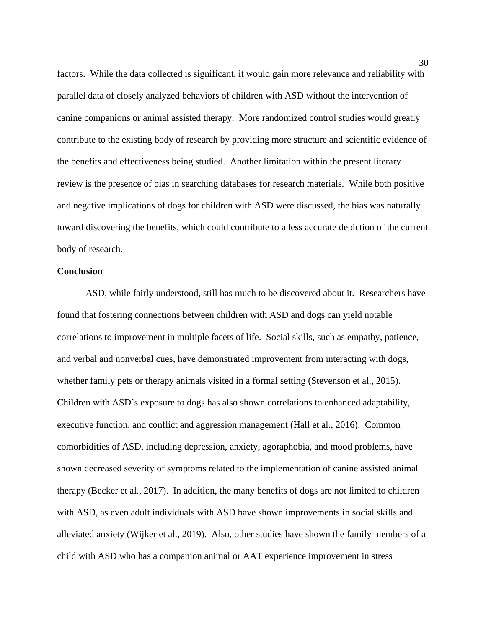factors. While the data collected is significant, it would gain more relevance and reliability with parallel data of closely analyzed behaviors of children with ASD without the intervention of canine companions or animal assisted therapy. More randomized control studies would greatly contribute to the existing body of research by providing more structure and scientific evidence of the benefits and effectiveness being studied. Another limitation within the present literary review is the presence of bias in searching databases for research materials. While both positive and negative implications of dogs for children with ASD were discussed, the bias was naturally toward discovering the benefits, which could contribute to a less accurate depiction of the current body of research.

# **Conclusion**

ASD, while fairly understood, still has much to be discovered about it. Researchers have found that fostering connections between children with ASD and dogs can yield notable correlations to improvement in multiple facets of life. Social skills, such as empathy, patience, and verbal and nonverbal cues, have demonstrated improvement from interacting with dogs, whether family pets or therapy animals visited in a formal setting (Stevenson et al., 2015). Children with ASD's exposure to dogs has also shown correlations to enhanced adaptability, executive function, and conflict and aggression management (Hall et al., 2016). Common comorbidities of ASD, including depression, anxiety, agoraphobia, and mood problems, have shown decreased severity of symptoms related to the implementation of canine assisted animal therapy (Becker et al., 2017). In addition, the many benefits of dogs are not limited to children with ASD, as even adult individuals with ASD have shown improvements in social skills and alleviated anxiety (Wijker et al., 2019). Also, other studies have shown the family members of a child with ASD who has a companion animal or AAT experience improvement in stress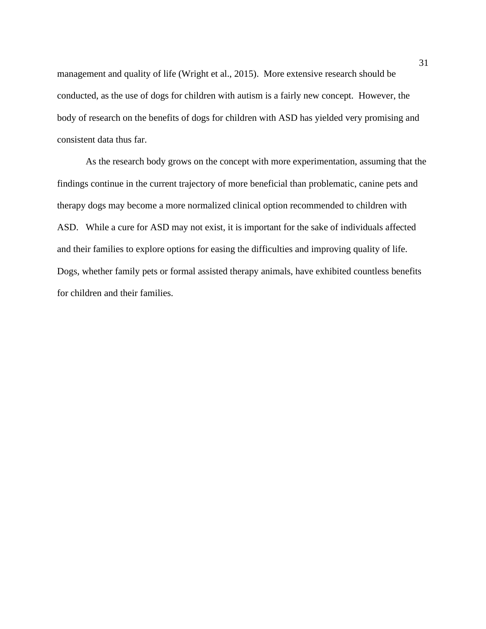management and quality of life (Wright et al., 2015). More extensive research should be conducted, as the use of dogs for children with autism is a fairly new concept. However, the body of research on the benefits of dogs for children with ASD has yielded very promising and consistent data thus far.

As the research body grows on the concept with more experimentation, assuming that the findings continue in the current trajectory of more beneficial than problematic, canine pets and therapy dogs may become a more normalized clinical option recommended to children with ASD. While a cure for ASD may not exist, it is important for the sake of individuals affected and their families to explore options for easing the difficulties and improving quality of life. Dogs, whether family pets or formal assisted therapy animals, have exhibited countless benefits for children and their families.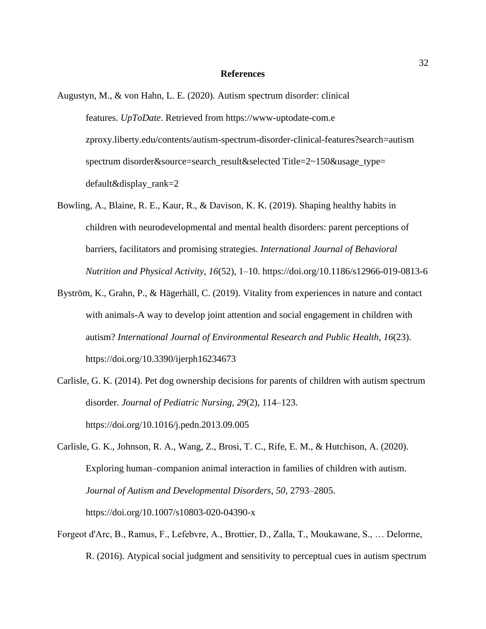#### **References**

- Augustyn, M., & von Hahn, L. E. (2020). Autism spectrum disorder: clinical features. *UpToDate*. Retrieved from https://www-uptodate-com.e zproxy.liberty.edu/contents/autism-spectrum-disorder-clinical-features?search=autism spectrum disorder&source=search\_result&selected Title=2~150&usage\_type= default&display\_rank=2
- Bowling, A., Blaine, R. E., Kaur, R., & Davison, K. K. (2019). Shaping healthy habits in children with neurodevelopmental and mental health disorders: parent perceptions of barriers, facilitators and promising strategies. *International Journal of Behavioral Nutrition and Physical Activity*, *16*(52), 1–10.<https://doi.org/10.1186/s12966-019-0813-6>
- Byström, K., Grahn, P., & Hägerhäll, C. (2019). Vitality from experiences in nature and contact with animals-A way to develop joint attention and social engagement in children with autism? *International Journal of Environmental Research and Public Health*, *16*(23). <https://doi.org/10.3390/ijerph16234673>
- Carlisle, G. K. (2014). Pet dog ownership decisions for parents of children with autism spectrum disorder. *Journal of Pediatric Nursing*, *29*(2), 114–123. [https://doi.org/10.1016/j.pedn.2013.09.005](https://doi-org.ezproxy.liberty.edu/10.1016/j.pedn.2013.09.005)
- Carlisle, G. K., Johnson, R. A., Wang, Z., Brosi, T. C., Rife, E. M., & Hutchison, A. (2020). Exploring human–companion animal interaction in families of children with autism. *Journal of Autism and Developmental Disorders*, *50*, 2793–2805. https://doi.org/10.1007/s10803-020-04390-x
- Forgeot d'Arc, B., Ramus, F., Lefebvre, A., Brottier, D., Zalla, T., Moukawane, S., … Delorme, R. (2016). Atypical social judgment and sensitivity to perceptual cues in autism spectrum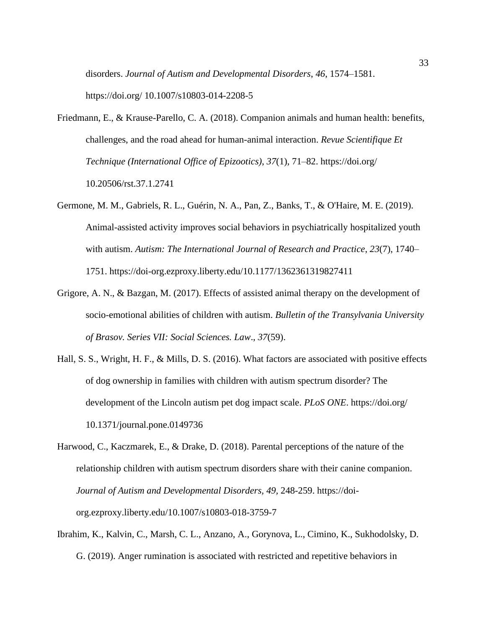disorders. *Journal of Autism and Developmental Disorders*, *46*, 1574–1581.

https://doi.org/ 10.1007/s10803-014-2208-5

- Friedmann, E., & Krause-Parello, C. A. (2018). Companion animals and human health: benefits, challenges, and the road ahead for human-animal interaction. *Revue Scientifique Et Technique (International Office of Epizootics)*, *37*(1), 71–82. https://doi.org/ 10.20506/rst.37.1.2741
- Germone, M. M., Gabriels, R. L., Guérin, N. A., Pan, Z., Banks, T., & O'Haire, M. E. (2019). Animal-assisted activity improves social behaviors in psychiatrically hospitalized youth with autism. *Autism: The International Journal of Research and Practice*, *23*(7), 1740– 1751. [https://doi-org.ezproxy.liberty.edu/10.1177/1362361319827411](https://doi-org.ezproxy.liberty.edu/10.1177%2F1362361319827411)
- Grigore, A. N., & Bazgan, M. (2017). Effects of assisted animal therapy on the development of socio-emotional abilities of children with autism. *Bulletin of the Transylvania University of Brasov. Series VII: Social Sciences. Law*., *37*(59).
- Hall, S. S., Wright, H. F., & Mills, D. S. (2016). What factors are associated with positive effects of dog ownership in families with children with autism spectrum disorder? The development of the Lincoln autism pet dog impact scale. *PLoS ONE*. https://doi.org/ 10.1371/journal.pone.0149736
- Harwood, C., Kaczmarek, E., & Drake, D. (2018). Parental perceptions of the nature of the relationship children with autism spectrum disorders share with their canine companion. *Journal of Autism and Developmental Disorders, 49,* 248-259. https://doiorg.ezproxy.liberty.edu/10.1007/s10803-018-3759-7
- Ibrahim, K., Kalvin, C., Marsh, C. L., Anzano, A., Gorynova, L., Cimino, K., Sukhodolsky, D. G. (2019). Anger rumination is associated with restricted and repetitive behaviors in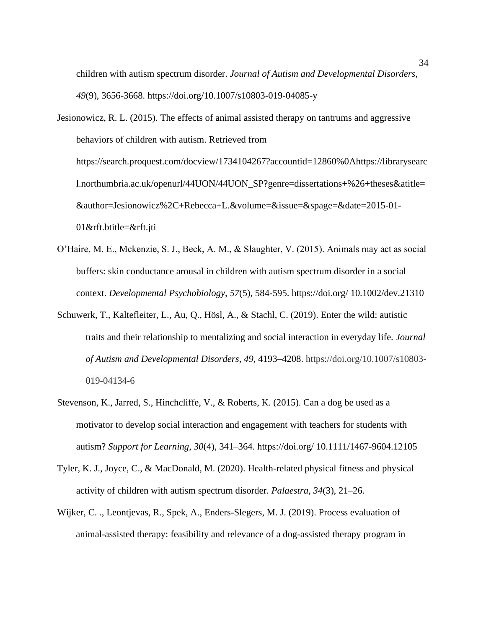children with autism spectrum disorder. *Journal of Autism and Developmental Disorders, 49*(9), 3656-3668. https://doi.org/10.1007/s10803-019-04085-y

Jesionowicz, R. L. (2015). The effects of animal assisted therapy on tantrums and aggressive behaviors of children with autism. Retrieved from https://search.proquest.com/docview/1734104267?accountid=12860%0Ahttps://librarysearc l.northumbria.ac.uk/openurl/44UON/44UON\_SP?genre=dissertations+%26+theses&atitle= &author=Jesionowicz%2C+Rebecca+L.&volume=&issue=&spage=&date=2015-01- 01&rft.btitle=&rft.jti

- O'Haire, M. E., Mckenzie, S. J., Beck, A. M., & Slaughter, V. (2015). Animals may act as social buffers: skin conductance arousal in children with autism spectrum disorder in a social context. *Developmental Psychobiology, 57*(5), 584-595. https://doi.org/ 10.1002/dev.21310
- Schuwerk, T., Kaltefleiter, L., Au, Q., Hösl, A., & Stachl, C. (2019). Enter the wild: autistic traits and their relationship to mentalizing and social interaction in everyday life. *Journal of Autism and Developmental Disorders*, *49*, 4193–4208. https://doi.org/10.1007/s10803- 019-04134-6
- Stevenson, K., Jarred, S., Hinchcliffe, V., & Roberts, K. (2015). Can a dog be used as a motivator to develop social interaction and engagement with teachers for students with autism? *Support for Learning*, *30*(4), 341–364. https://doi.org/ 10.1111/1467-9604.12105
- Tyler, K. J., Joyce, C., & MacDonald, M. (2020). Health-related physical fitness and physical activity of children with autism spectrum disorder. *Palaestra*, *34*(3), 21–26.
- Wijker, C. ., Leontjevas, R., Spek, A., Enders-Slegers, M. J. (2019). Process evaluation of animal-assisted therapy: feasibility and relevance of a dog-assisted therapy program in